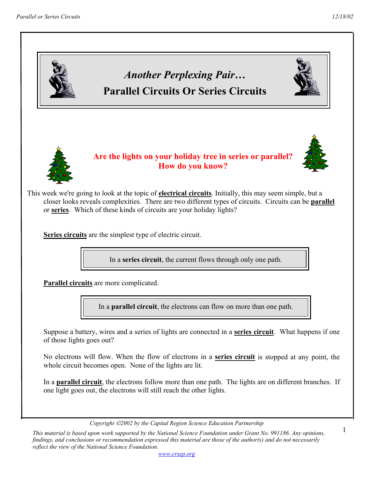